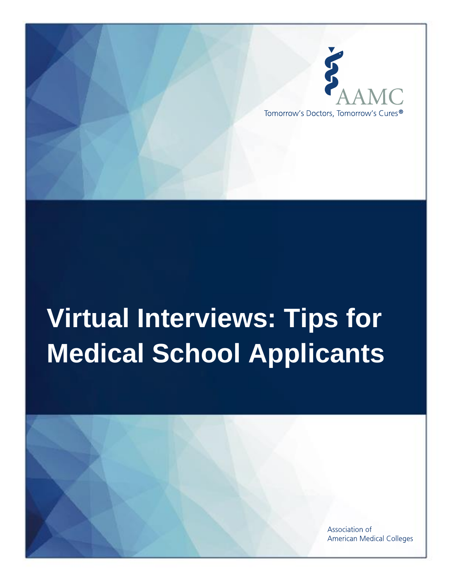

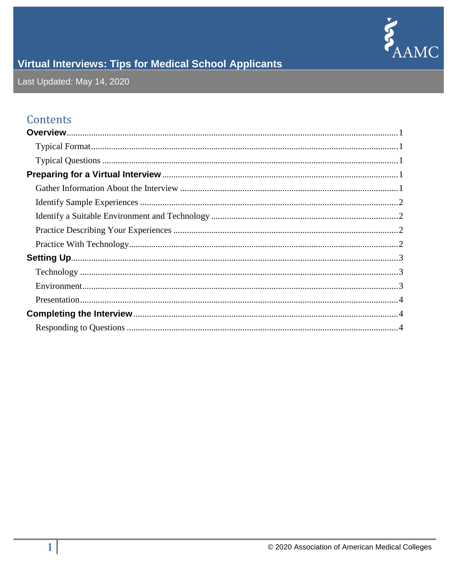

Last Updated: May 14, 2020

## Contents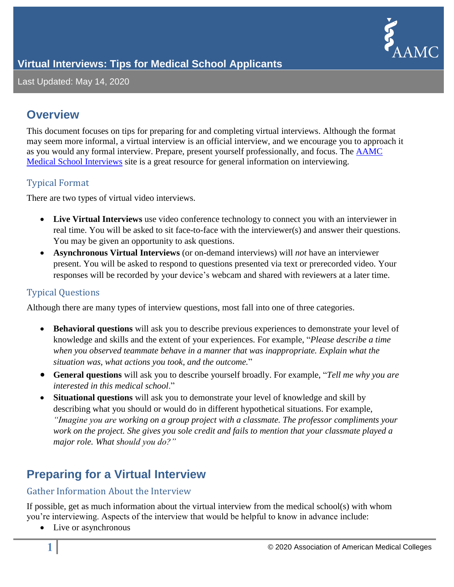

Last Updated: May 14, 2020

### <span id="page-2-0"></span>**Overview**

This document focuses on tips for preparing for and completing virtual interviews. Although the format may seem more informal, a virtual interview is an official interview, and we encourage you to approach it as you would any formal interview. Prepare, present yourself professionally, and focus. The [AAMC](https://students-residents.aamc.org/applying-medical-school/applying-medical-school-process/medical-school-interviews/)  [Medical School Interviews](https://students-residents.aamc.org/applying-medical-school/applying-medical-school-process/medical-school-interviews/) site is a great resource for general information on interviewing.

#### <span id="page-2-1"></span>Typical Format

There are two types of virtual video interviews.

- **Live Virtual Interviews** use video conference technology to connect you with an interviewer in real time. You will be asked to sit face-to-face with the interviewer(s) and answer their questions. You may be given an opportunity to ask questions.
- **Asynchronous Virtual Interviews** (or on-demand interviews) will *not* have an interviewer present. You will be asked to respond to questions presented via text or prerecorded video. Your responses will be recorded by your device's webcam and shared with reviewers at a later time.

#### <span id="page-2-2"></span>Typical Questions

Although there are many types of interview questions, most fall into one of three categories.

- **Behavioral questions** will ask you to describe previous experiences to demonstrate your level of knowledge and skills and the extent of your experiences. For example, "*Please describe a time when you observed teammate behave in a manner that was inappropriate. Explain what the situation was, what actions you took, and the outcome.*"
- **General questions** will ask you to describe yourself broadly. For example, "*Tell me why you are interested in this medical school*."
- **Situational questions** will ask you to demonstrate your level of knowledge and skill by describing what you should or would do in different hypothetical situations. For example, *"Imagine you are working on a group project with a classmate. The professor compliments your work on the project. She gives you sole credit and fails to mention that your classmate played a major role. What should you do?"*

# <span id="page-2-3"></span>**Preparing for a Virtual Interview**

#### <span id="page-2-4"></span>Gather Information About the Interview

If possible, get as much information about the virtual interview from the medical school(s) with whom you're interviewing. Aspects of the interview that would be helpful to know in advance include:

• Live or asynchronous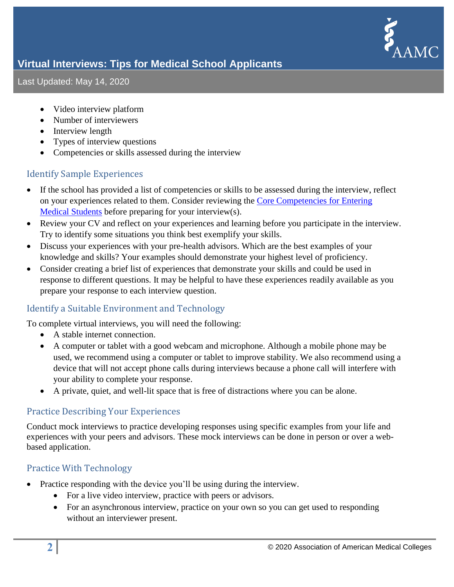

Last Updated: May 14, 2020

- Video interview platform
- Number of interviewers
- Interview length
- Types of interview questions
- Competencies or skills assessed during the interview

#### <span id="page-3-0"></span>Identify Sample Experiences

- If the school has provided a list of competencies or skills to be assessed during the interview, reflect on your experiences related to them. Consider reviewing the [Core Competencies for Entering](https://students-residents.aamc.org/applying-medical-school/article/core-competencies/)  [Medical Students](https://students-residents.aamc.org/applying-medical-school/article/core-competencies/) before preparing for your interview(s).
- Review your CV and reflect on your experiences and learning before you participate in the interview. Try to identify some situations you think best exemplify your skills.
- Discuss your experiences with your pre-health advisors. Which are the best examples of your knowledge and skills? Your examples should demonstrate your highest level of proficiency.
- Consider creating a brief list of experiences that demonstrate your skills and could be used in response to different questions. It may be helpful to have these experiences readily available as you prepare your response to each interview question.

#### <span id="page-3-1"></span>Identify a Suitable Environment and Technology

To complete virtual interviews, you will need the following:

- A stable internet connection.
- A computer or tablet with a good webcam and microphone. Although a mobile phone may be used, we recommend using a computer or tablet to improve stability. We also recommend using a device that will not accept phone calls during interviews because a phone call will interfere with your ability to complete your response.
- A private, quiet, and well-lit space that is free of distractions where you can be alone.

#### <span id="page-3-2"></span>Practice Describing Your Experiences

Conduct mock interviews to practice developing responses using specific examples from your life and experiences with your peers and advisors. These mock interviews can be done in person or over a webbased application.

#### <span id="page-3-3"></span>Practice With Technology

- Practice responding with the device you'll be using during the interview.
	- For a live video interview, practice with peers or advisors.
	- For an asynchronous interview, practice on your own so you can get used to responding without an interviewer present.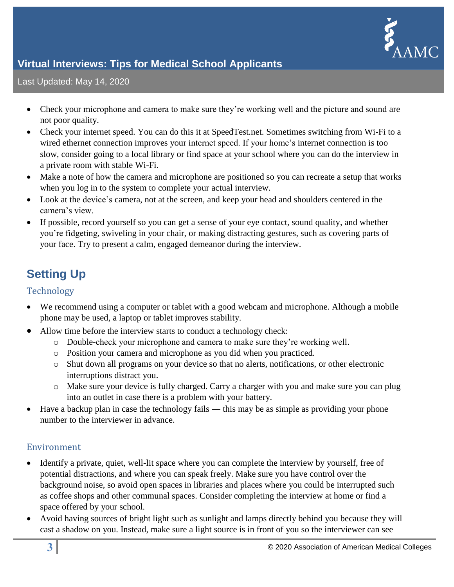

#### Last Updated: May 14, 2020

- Check your microphone and camera to make sure they're working well and the picture and sound are not poor quality.
- Check your internet speed. You can do this it at [SpeedTest.net.](http://www.speedtest.net/) Sometimes switching from Wi-Fi to a wired ethernet connection improves your internet speed. If your home's internet connection is too slow, consider going to a local library or find space at your school where you can do the interview in a private room with stable Wi-Fi.
- Make a note of how the camera and microphone are positioned so you can recreate a setup that works when you log in to the system to complete your actual interview.
- Look at the device's camera, not at the screen, and keep your head and shoulders centered in the camera's view.
- If possible, record yourself so you can get a sense of your eye contact, sound quality, and whether you're fidgeting, swiveling in your chair, or making distracting gestures, such as covering parts of your face. Try to present a calm, engaged demeanor during the interview.

## <span id="page-4-0"></span>**Setting Up**

#### <span id="page-4-1"></span>Technology

- We recommend using a computer or tablet with a good webcam and microphone. Although a mobile phone may be used, a laptop or tablet improves stability.
- Allow time before the interview starts to conduct a technology check:
	- o Double-check your microphone and camera to make sure they're working well.
	- o Position your camera and microphone as you did when you practiced.
	- o Shut down all programs on your device so that no alerts, notifications, or other electronic interruptions distract you.
	- o Make sure your device is fully charged. Carry a charger with you and make sure you can plug into an outlet in case there is a problem with your battery.
- Have a backup plan in case the technology fails this may be as simple as providing your phone number to the interviewer in advance.

#### <span id="page-4-2"></span>Environment

- Identify a private, quiet, well-lit space where you can complete the interview by yourself, free of potential distractions, and where you can speak freely. Make sure you have control over the background noise, so avoid open spaces in libraries and places where you could be interrupted such as coffee shops and other communal spaces. Consider completing the interview at home or find a space offered by your school.
- Avoid having sources of bright light such as sunlight and lamps directly behind you because they will cast a shadow on you. Instead, make sure a light source is in front of you so the interviewer can see